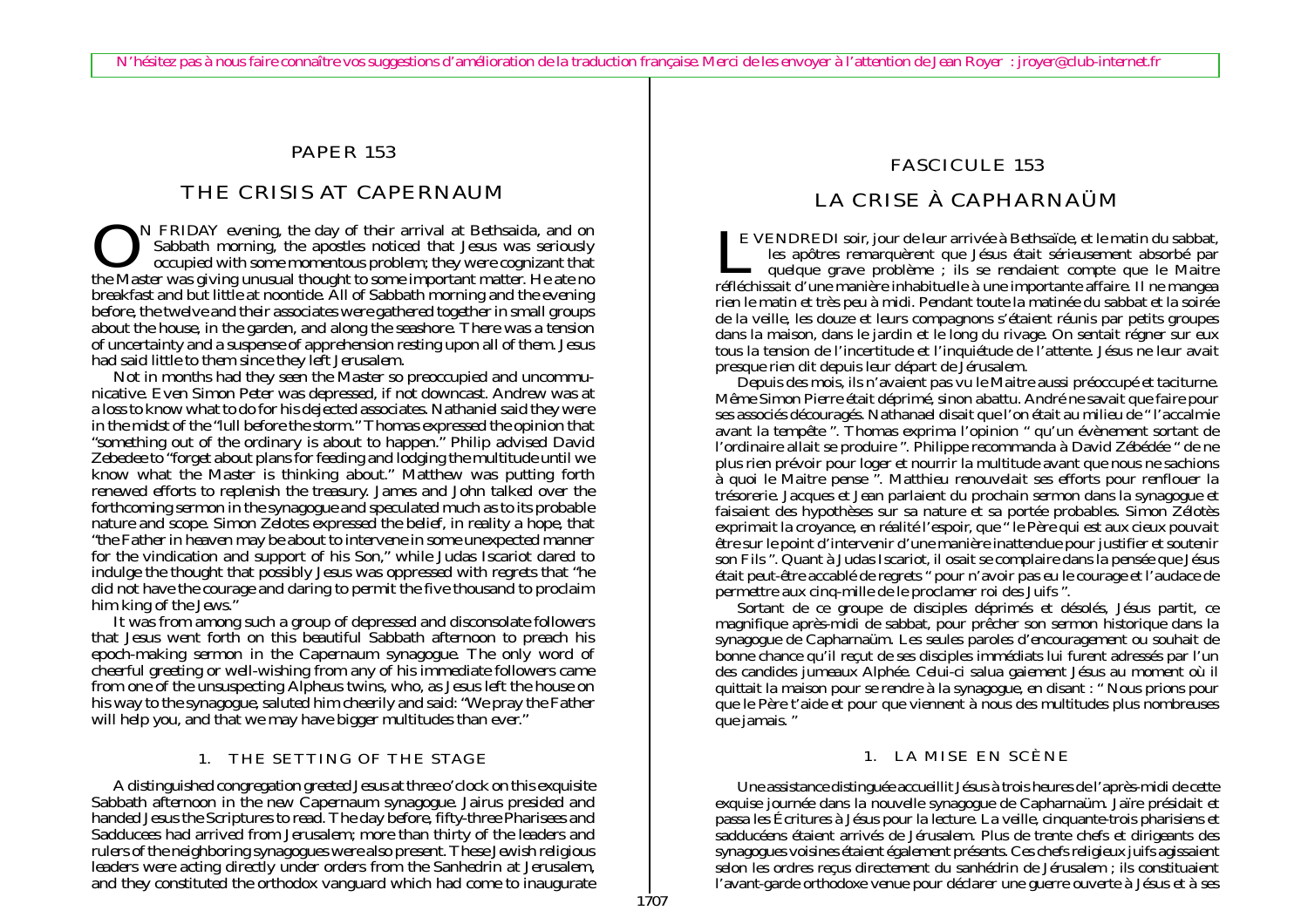# PAPER 153

# THE CRISIS AT CAPERNAUM

N FRIDAY evening, the day of their arrival at Bethsaida, and on Sabbath morning, the apostles noticed that Jesus was seriously occupied with some momentous problem; they were cognizant that the Master was giving unusual thought to some important matter. He ate no breakfast and but little at noontide. All of Sabbath morning and the evening before, the twelve and their associates were gathered together in small groups about the house, in the garden, and along the seashore. There was a tension of uncertainty and a suspense of apprehension resting upon all of them. Jesus had said little to them since they left Jerusalem. O

Not in months had they seen the Master so preoccupied and uncommunicative. Even Simon Peter was depressed, if not downcast. Andrew was at a loss to know what to do for his dejected associates. Nathaniel said they were in the midst of the "lull before the storm." Thomas expressed the opinion that "something out of the ordinary is about to happen." Philip advised David Zebedee to "forget about plans for feeding and lodging the multitude until we know what the Master is thinking about." Matthew was putting forth renewed efforts to replenish the treasury. James and John talked over the forthcoming sermon in the synagogue and speculated much as to its probable nature and scope. Simon Zelotes expressed the belief, in reality a hope, that "the Father in heaven may be about to intervene in some unexpected manner for the vindication and support of his Son," while Judas Iscariot dared to indulge the thought that possibly Jesus was oppressed with regrets that "he did not have the courage and daring to permit the five thousand to proclaim him king of the Jews."

It was from among such a group of depressed and disconsolate followers that Jesus went forth on this beautiful Sabbath afternoon to preach his epoch-making sermon in the Capernaum synagogue. The only word of cheerful greeting or well-wishing from any of his immediate followers came from one of the unsuspecting Alpheus twins, who, as Jesus left the house on his way to the synagogue, saluted him cheerily and said: "We pray the Father will help you, and that we may have bigger multitudes than ever."

# 1. THE SETTING OF THE STAGE

A distinguished congregation greeted Jesus at three o'clock on this exquisite Sabbath afternoon in the new Capernaum synagogue. Jairus presided and handed Jesus the Scriptures to read. The day before, fifty-three Pharisees and Sadducees had arrived from Jerusalem; more than thirty of the leaders and rulers of the neighboring synagogues were also present. These Jewish religious leaders were acting directly under orders from the Sanhedrin at Jerusalem, and they constituted the orthodox vanguard which had come to inaugurate

# FASCICULE 153 LA CRISE À CAPHARNAÜM

E VENDREDI soir, jour de leur arrivée à Bethsaïde, et le matin du sabbat,<br>les apôtres remarquèrent que Jésus était sérieusement absorbé par<br>quelque grave problème : ils se rendaient compte que le Maitre les apôtres remarquèrent que Jésus était sérieusement absorbé par quelque grave problème ; ils se rendaient compte que le Maitre réfléchissait d'une manière inhabituelle à une importante affaire. Il ne mangea rien le matin et très peu à midi. Pendant toute la matinée du sabbat et la soirée de la veille, les douze et leurs compagnons s'étaient réunis par petits groupes dans la maison, dans le jardin et le long du rivage. On sentait régner sur eux tous la tension de l'incertitude et l'inquiétude de l'attente. Jésus ne leur avait presque rien dit depuis leur départ de Jérusalem.

Depuis des mois, ils n'avaient pas vu le Maitre aussi préoccupé et taciturne. Même Simon Pierre était déprimé, sinon abattu. André ne savait que faire pour ses associés découragés. Nathanael disait que l'on était au milieu de " l'accalmie avant la tempête ". Thomas exprima l'opinion " qu'un évènement sortant de l'ordinaire allait se produire ". Philippe recommanda à David Zébédée " de ne plus rien prévoir pour loger et nourrir la multitude avant que nous ne sachions à quoi le Maitre pense ". Matthieu renouvelait ses efforts pour renflouer la trésorerie. Jacques et Jean parlaient du prochain sermon dans la synagogue et faisaient des hypothèses sur sa nature et sa portée probables. Simon Zélotès exprimait la croyance, en réalité l'espoir, que " le Père qui est aux cieux pouvait être sur le point d'intervenir d'une manière inattendue pour justifier et soutenir son Fils ". Quant à Judas Iscariot, il osait se complaire dans la pensée que Jésus était peut-être accablé de regrets " pour n'avoir pas eu le courage et l'audace de permettre aux cinq-mille de le proclamer roi des Juifs ".

Sortant de ce groupe de disciples déprimés et désolés, Jésus partit, ce magnifique après-midi de sabbat, pour prêcher son sermon historique dans la synagogue de Capharnaüm. Les seules paroles d'encouragement ou souhait de bonne chance qu'il reçut de ses disciples immédiats lui furent adressés par l'un des candides jumeaux Alphée. Celui-ci salua gaiement Jésus au moment où il quittait la maison pour se rendre à la synagogue, en disant : " Nous prions pour que le Père t'aide et pour que viennent à nous des multitudes plus nombreuses que jamais. "

# 1. LA MISE EN SCÈNE

Une assistance distinguée accueillit Jésus à trois heures de l'après-midi de cette exquise journée dans la nouvelle synagogue de Capharnaüm. Jaïre présidait et passa les Écritures à Jésus pour la lecture. La veille, cinquante-trois pharisiens et sadducéens étaient arrivés de Jérusalem. Plus de trente chefs et dirigeants des synagogues voisines étaient également présents. Ces chefs religieux juifs agissaient selon les ordres reçus directement du sanhédrin de Jérusalem ; ils constituaient l'avant-garde orthodoxe venue pour déclarer une guerre ouverte à Jésus et à ses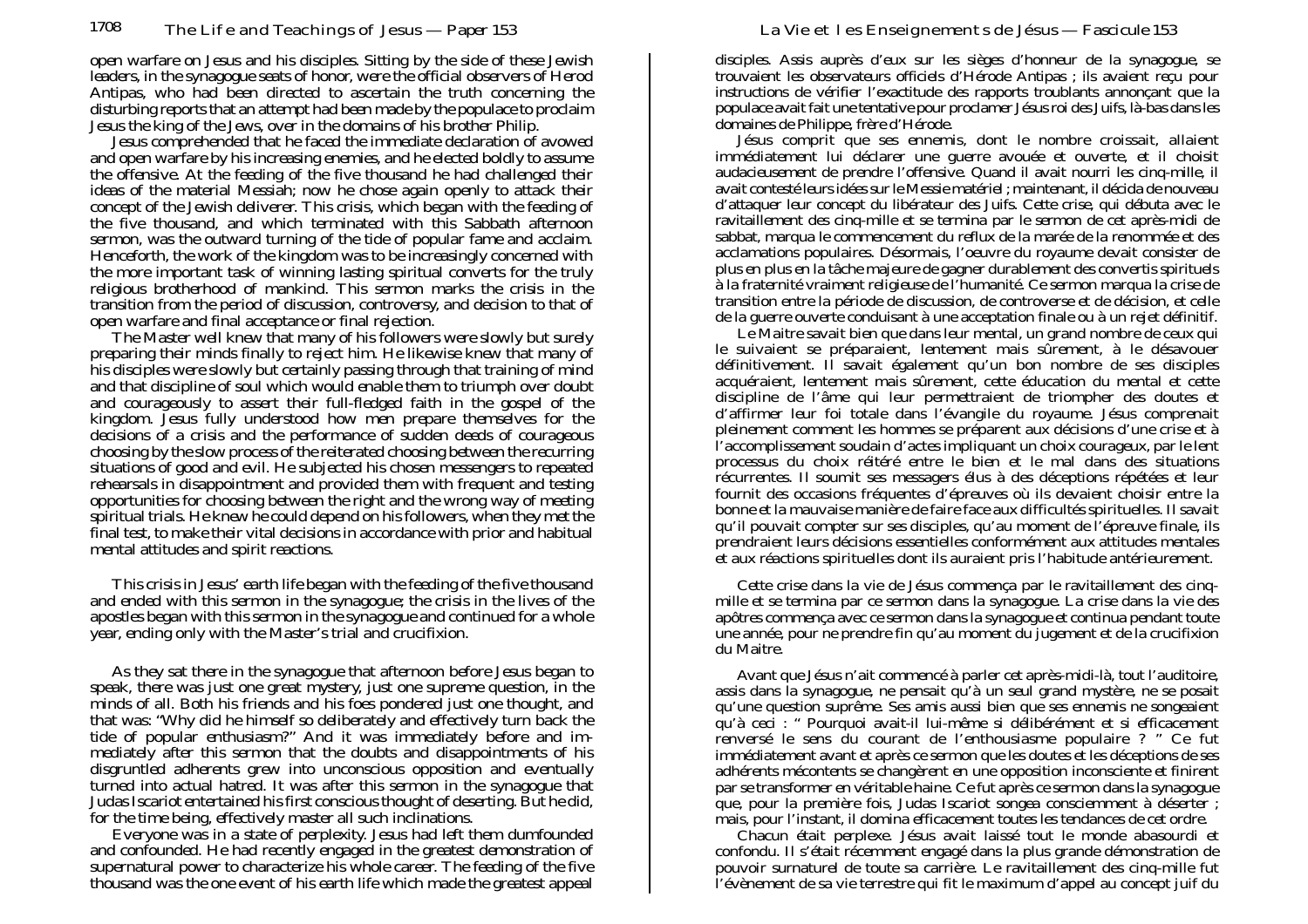open warfare on Jesus and his disciples. Sitting by the side of these Jewish leaders, in the synagogue seats of honor, were the official observers of Herod Antipas, who had been directed to ascertain the truth concerning the disturbing reports that an attempt had been made by the populace to proclaim Jesus the king of the Jews, over in the domains of his brother Philip.

Jesus comprehended that he faced the immediate declaration of avowed and open warfare by his increasing enemies, and he elected boldly to assume the offensive. At the feeding of the five thousand he had challenged their ideas of the material Messiah; now he chose again openly to attack their concept of the Jewish deliverer. This crisis, which began with the feeding of the five thousand, and which terminated with this Sabbath afternoon sermon, was the outward turning of the tide of popular fame and acclaim. Henceforth, the work of the kingdom was to be increasingly concerned with the more important task of winning lasting spiritual converts for the truly religious brotherhood of mankind. This sermon marks the crisis in the transition from the period of discussion, controversy, and decision to that of open warfare and final acceptance or final rejection.

The Master well knew that many of his followers were slowly but surely preparing their minds finally to reject him. He likewise knew that many of his disciples were slowly but certainly passing through that training of mind and that discipline of soul which would enable them to triumph over doubt and courageously to assert their full-fledged faith in the gospel of the kingdom. Jesus fully understood how men prepare themselves for the decisions of a crisis and the performance of sudden deeds of courageous choosing by the slow process of the reiterated choosing between the recurring situations of good and evil. He subjected his chosen messengers to repeated rehearsals in disappointment and provided them with frequent and testing opportunities for choosing between the right and the wrong way of meeting spiritual trials. He knew he could depend on his followers, when they met the final test, to make their vital decisions in accordance with prior and habitual mental attitudes and spirit reactions.

This crisis in Jesus' earth life began with the feeding of the five thousand and ended with this sermon in the synagogue; the crisis in the lives of the apostles began with this sermon in the synagogue and continued for a whole year, ending only with the Master's trial and crucifixion.

As they sat there in the synagogue that afternoon before Jesus began to speak, there was just one great mystery, just one supreme question, in the minds of all. Both his friends and his foes pondered just one thought, and that was: "Why did he himself so deliberately and effectively turn back the tide of popular enthusiasm?" And it was immediately before and immediately after this sermon that the doubts and disappointments of his disgruntled adherents grew into unconscious opposition and eventually turned into actual hatred. It was after this sermon in the synagogue that Judas Iscariot entertained his first conscious thought of deserting. But he did, for the time being, effectively master all such inclinations.

Everyone was in a state of perplexity. Jesus had left them dumfounded and confounded. He had recently engaged in the greatest demonstration of supernatural power to characterize his whole career. The feeding of the five thousand was the one event of his earth life which made the greatest appeal disciples. Assis auprès d'eux sur les sièges d'honneur de la synagogue, se trouvaient les observateurs officiels d'Hérode Antipas ; ils avaient reçu pour instructions de vérifier l'exactitude des rapports troublants annonçant que la populace avait fait une tentative pour proclamer Jésus roi des Juifs, là-bas dans les domaines de Philippe, frère d'Hérode.

Jésus comprit que ses ennemis, dont le nombre croissait, allaient immédiatement lui déclarer une guerre avouée et ouverte, et il choisit audacieusement de prendre l'offensive. Quand il avait nourri les cinq-mille, il avait contesté leurs idées sur le Messie matériel ; maintenant, il décida de nouveau d'attaquer leur concept du libérateur des Juifs. Cette crise, qui débuta avec le ravitaillement des cinq-mille et se termina par le sermon de cet après-midi de sabbat, marqua le commencement du reflux de la marée de la renommée et des acclamations populaires. Désormais, l'oeuvre du royaume devait consister de plus en plus en la tâche majeure de gagner durablement des convertis spirituels à la fraternité vraiment religieuse de l'humanité. Ce sermon marqua la crise de transition entre la période de discussion, de controverse et de décision, et celle de la guerre ouverte conduisant à une acceptation finale ou à un rejet définitif.

Le Maitre savait bien que dans leur mental, un grand nombre de ceux qui le suivaient se préparaient, lentement mais sûrement, à le désavouer définitivement. Il savait également qu'un bon nombre de ses disciples acquéraient, lentement mais sûrement, cette éducation du mental et cette discipline de l'âme qui leur permettraient de triompher des doutes et d'affirmer leur foi totale dans l'évangile du royaume. Jésus comprenait pleinement comment les hommes se préparent aux décisions d'une crise et à l'accomplissement soudain d'actes impliquant un choix courageux, par le lent processus du choix réitéré entre le bien et le mal dans des situations récurrentes. Il soumit ses messagers élus à des déceptions répétées et leur fournit des occasions fréquentes d'épreuves où ils devaient choisir entre la bonne et la mauvaise manière de faire face aux difficultés spirituelles. Il savait qu'il pouvait compter sur ses disciples, qu'au moment de l'épreuve finale, ils prendraient leurs décisions essentielles conformément aux attitudes mentales et aux réactions spirituelles dont ils auraient pris l'habitude antérieurement.

Cette crise dans la vie de Jésus commença par le ravitaillement des cinqmille et se termina par ce sermon dans la synagogue. La crise dans la vie des apôtres commença avec ce sermon dans la synagogue et continua pendant toute une année, pour ne prendre fin qu'au moment du jugement et de la crucifixion du Maitre.

Avant que Jésus n'ait commencé à parler cet après-midi-là, tout l'auditoire, assis dans la synagogue, ne pensait qu'à un seul grand mystère, ne se posait qu'une question suprême. Ses amis aussi bien que ses ennemis ne songeaient qu'à ceci : " Pourquoi avait-il lui-même si délibérément et si efficacement renversé le sens du courant de l'enthousiasme populaire ? " Ce fut immédiatement avant et après ce sermon que les doutes et les déceptions de ses adhérents mécontents se changèrent en une opposition inconsciente et finirent par se transformer en véritable haine. Ce fut après ce sermon dans la synagogue que, pour la première fois, Judas Iscariot songea consciemment à déserter ; mais, pour l'instant, il domina efficacement toutes les tendances de cet ordre.

Chacun était perplexe. Jésus avait laissé tout le monde abasourdi et confondu. Il s'était récemment engagé dans la plus grande démonstration de pouvoir surnaturel de toute sa carrière. Le ravitaillement des cinq-mille fut l'évènement de sa vie terrestre qui fit le maximum d'appel au concept juif du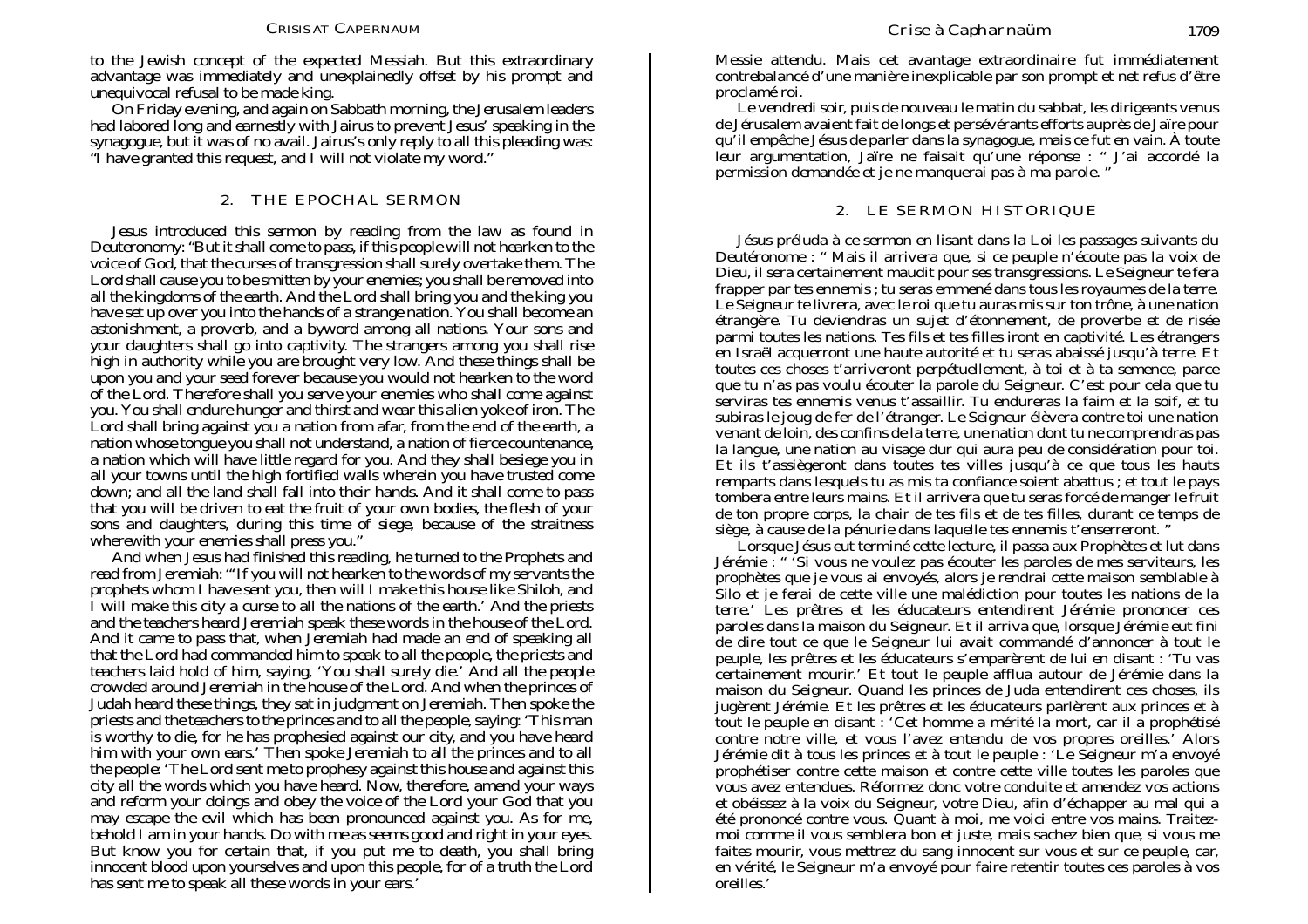#### CRISIS AT CAPERNAUM

to the Jewish concept of the expected Messiah. But this extraordinary advantage was immediately and unexplainedly offset by his prompt and unequivocal refusal to be made king.

On Friday evening, and again on Sabbath morning, the Jerusalem leaders had labored long and earnestly with Jairus to prevent Jesus' speaking in the synagogue, but it was of no avail. Jairus's only reply to all this pleading was: "I have granted this request, and I will not violate my word."

#### 2. THE EPOCHAL SERMON

Jesus introduced this sermon by reading from the law as found in Deuteronomy: "But it shall come to pass, if this people will not hearken to the voice of God, that the curses of transgression shall surely overtake them. The Lord shall cause you to be smitten by your enemies; you shall be removed into all the kingdoms of the earth. And the Lord shall bring you and the king you have set up over you into the hands of a strange nation. You shall become an astonishment, a proverb, and a byword among all nations. Your sons and your daughters shall go into captivity. The strangers among you shall rise high in authority while you are brought very low. And these things shall be upon you and your seed forever because you would not hearken to the word of the Lord. Therefore shall you serve your enemies who shall come against you. You shall endure hunger and thirst and wear this alien yoke of iron. The Lord shall bring against you a nation from afar, from the end of the earth, a nation whose tongue you shall not understand, a nation of fierce countenance, a nation which will have little regard for you. And they shall besiege you in all your towns until the high fortified walls wherein you have trusted come down; and all the land shall fall into their hands. And it shall come to pass that you will be driven to eat the fruit of your own bodies, the flesh of your sons and daughters, during this time of siege, because of the straitness wherewith your enemies shall press you."

And when Jesus had finished this reading, he turned to the Prophets and read from Jeremiah: "'If you will not hearken to the words of my servants the prophets whom I have sent you, then will I make this house like Shiloh, and I will make this city a curse to all the nations of the earth.' And the priests and the teachers heard Jeremiah speak these words in the house of the Lord. And it came to pass that, when Jeremiah had made an end of speaking all that the Lord had commanded him to speak to all the people, the priests and teachers laid hold of him, saying, 'You shall surely die.' And all the people crowded around Jeremiah in the house of the Lord. And when the princes of Judah heard these things, they sat in judgment on Jeremiah. Then spoke the priests and the teachers to the princes and to all the people, saying: 'This man is worthy to die, for he has prophesied against our city, and you have heard him with your own ears.' Then spoke Jeremiah to all the princes and to all the people: 'The Lord sent me to prophesy against this house and against this city all the words which you have heard. Now, therefore, amend your ways and reform your doings and obey the voice of the Lord your God that you may escape the evil which has been pronounced against you. As for me, behold I am in your hands. Do with me as seems good and right in your eyes. But know you for certain that, if you put me to death, you shall bring innocent blood upon yourselves and upon this people, for of a truth the Lord has sent me to speak all these words in your ears.

Messie attendu. Mais cet avantage extraordinaire fut immédiatement contrebalancé d'une manière inexplicable par son prompt et net refus d'être proclamé roi.

Le vendredi soir, puis de nouveau le matin du sabbat, les dirigeants venus de Jérusalem avaient fait de longs et persévérants efforts auprès de Jaïre pour qu'il empêche Jésus de parler dans la synagogue, mais ce fut en vain. À toute leur argumentation, Jaïre ne faisait qu'une réponse : " J'ai accordé la permission demandée et je ne manquerai pas à ma parole. "

#### 2. LE SERMON HISTORIQUE

Jésus préluda à ce sermon en lisant dans la Loi les passages suivants du Deutéronome : " Mais il arrivera que, si ce peuple n'écoute pas la voix de Dieu, il sera certainement maudit pour ses transgressions. Le Seigneur te fera frapper par tes ennemis ; tu seras emmené dans tous les royaumes de la terre. Le Seigneur te livrera, avec le roi que tu auras mis sur ton trône, à une nation étrangère. Tu deviendras un sujet d'étonnement, de proverbe et de risée parmi toutes les nations. Tes fils et tes filles iront en captivité. Les étrangers en Israël acquerront une haute autorité et tu seras abaissé jusqu'à terre. Et toutes ces choses t'arriveront perpétuellement, à toi et à ta semence, parce que tu n'as pas voulu écouter la parole du Seigneur. C'est pour cela que tu serviras tes ennemis venus t'assaillir. Tu endureras la faim et la soif, et tu subiras le joug de fer de l'étranger. Le Seigneur élèvera contre toi une nation venant de loin, des confins de la terre, une nation dont tu ne comprendras pas la langue, une nation au visage dur qui aura peu de considération pour toi. Et ils t'assiègeront dans toutes tes villes jusqu'à ce que tous les hauts remparts dans lesquels tu as mis ta confiance soient abattus ; et tout le pays tombera entre leurs mains. Et il arrivera que tu seras forcé de manger le fruit de ton propre corps, la chair de tes fils et de tes filles, durant ce temps de siège, à cause de la pénurie dans laquelle tes ennemis t'enserreront. "

Lorsque Jésus eut terminé cette lecture, il passa aux Prophètes et lut dans Jérémie : " 'Si vous ne voulez pas écouter les paroles de mes serviteurs, les prophètes que je vous ai envoyés, alors je rendrai cette maison semblable à Silo et je ferai de cette ville une malédiction pour toutes les nations de la terre.' Les prêtres et les éducateurs entendirent Jérémie prononcer ces paroles dans la maison du Seigneur. Et il arriva que, lorsque Jérémie eut fini de dire tout ce que le Seigneur lui avait commandé d'annoncer à tout le peuple, les prêtres et les éducateurs s'emparèrent de lui en disant : 'Tu vas certainement mourir.' Et tout le peuple afflua autour de Jérémie dans la maison du Seigneur. Quand les princes de Juda entendirent ces choses, ils jugèrent Jérémie. Et les prêtres et les éducateurs parlèrent aux princes et à tout le peuple en disant : 'Cet homme a mérité la mort, car il a prophétisé contre notre ville, et vous l'avez entendu de vos propres oreilles.' Alors Jérémie dit à tous les princes et à tout le peuple : 'Le Seigneur m'a envoyé prophétiser contre cette maison et contre cette ville toutes les paroles que vous avez entendues. Réformez donc votre conduite et amendez vos actions et obéissez à la voix du Seigneur, votre Dieu, afin d'échapper au mal qui a été prononcé contre vous. Quant à moi, me voici entre vos mains. Traitezmoi comme il vous semblera bon et juste, mais sachez bien que, si vous me faites mourir, vous mettrez du sang innocent sur vous et sur ce peuple, car, en vérité, le Seigneur m'a envoyé pour faire retentir toutes ces paroles à vos oreilles.'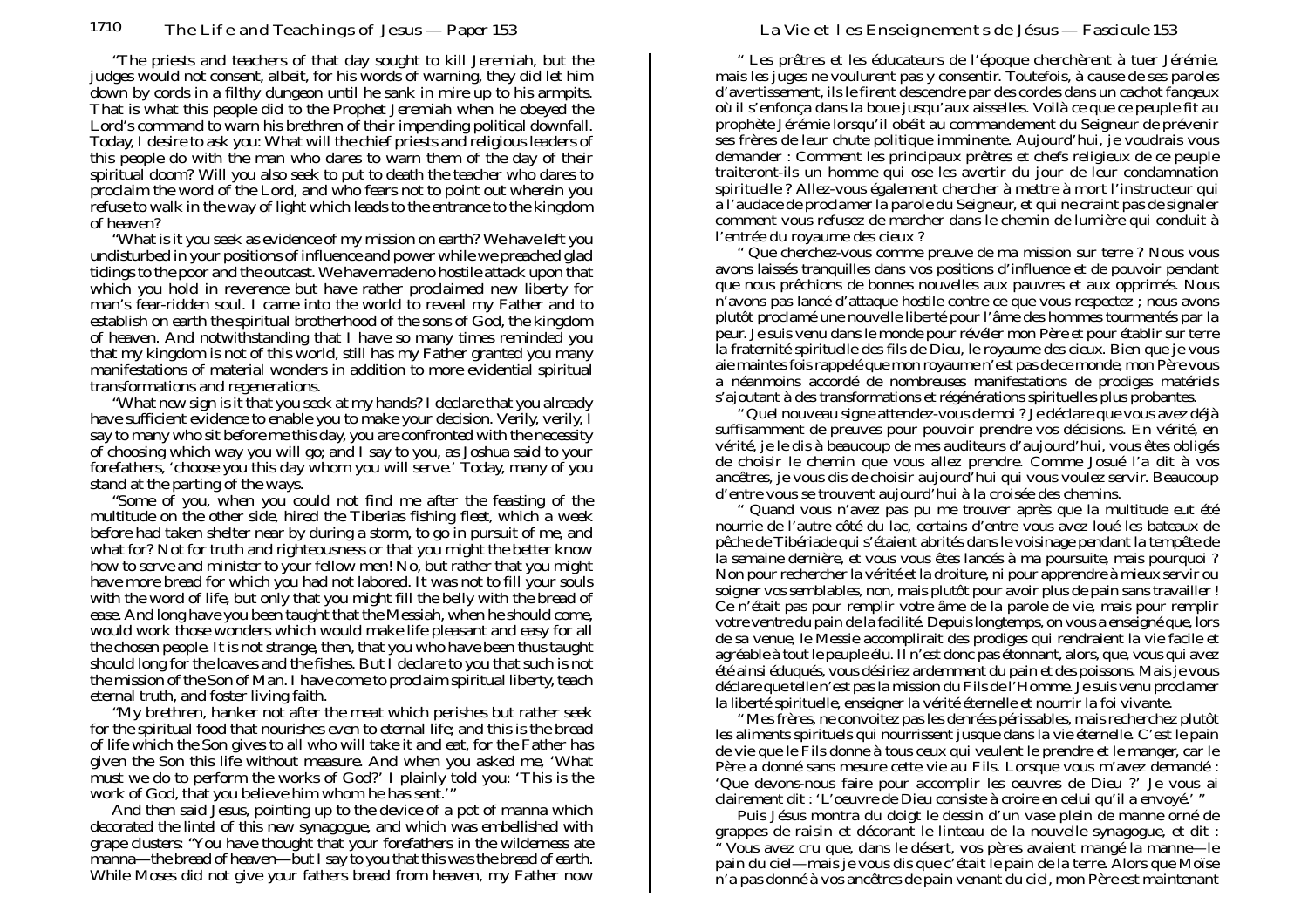"The priests and teachers of that day sought to kill Jeremiah, but the judges would not consent, albeit, for his words of warning, they did let him down by cords in a filthy dungeon until he sank in mire up to his armpits. That is what this people did to the Prophet Jeremiah when he obeyed the Lord's command to warn his brethren of their impending political downfall. Today, I desire to ask you: What will the chief priests and religious leaders of this people do with the man who dares to warn them of the day of their spiritual doom? Will you also seek to put to death the teacher who dares to proclaim the word of the Lord, and who fears not to point out wherein you refuse to walk in the way of light which leads to the entrance to the kingdom of heaven?

"What is it you seek as evidence of my mission on earth? We have left you undisturbed in your positions of influence and power while we preached glad tidings to the poor and the outcast. We have made no hostile attack upon that which you hold in reverence but have rather proclaimed new liberty for man's fear-ridden soul. I came into the world to reveal my Father and to establish on earth the spiritual brotherhood of the sons of God, the kingdom of heaven. And notwithstanding that I have so many times reminded you that my kingdom is not of this world, still has my Father granted you many manifestations of material wonders in addition to more evidential spiritual transformations and regenerations.

"What new sign is it that you seek at my hands? I declare that you already have sufficient evidence to enable you to make your decision. Verily, verily, I say to many who sit before me this day, you are confronted with the necessity of choosing which way you will go; and I say to you, as Joshua said to your forefathers, 'choose you this day whom you will serve.' Today, many of you stand at the parting of the ways.

"Some of you, when you could not find me after the feasting of the multitude on the other side, hired the Tiberias fishing fleet, which a week before had taken shelter near by during a storm, to go in pursuit of me, and what for? Not for truth and righteousness or that you might the better know how to serve and minister to your fellow men! No, but rather that you might have more bread for which you had not labored. It was not to fill your souls with the word of life, but only that you might fill the belly with the bread of ease. And long have you been taught that the Messiah, when he should come, would work those wonders which would make life pleasant and easy for all the chosen people. It is not strange, then, that you who have been thus taught should long for the loaves and the fishes. But I declare to you that such is not the mission of the Son of Man. I have come to proclaim spiritual liberty, teach eternal truth, and foster living faith.

"My brethren, hanker not after the meat which perishes but rather seek for the spiritual food that nourishes even to eternal life; and this is the bread of life which the Son gives to all who will take it and eat, for the Father has given the Son this life without measure. And when you asked me, 'What must we do to perform the works of God?' I plainly told you: 'This is the work of God, that you believe him whom he has sent.'

And then said Jesus, pointing up to the device of a pot of manna which decorated the lintel of this new synagogue, and which was embellished with grape clusters: "You have thought that your forefathers in the wilderness ate manna—the bread of heaven—but I say to you that this was the bread of earth. While Moses did not give your fathers bread from heaven, my Father now

" Les prêtres et les éducateurs de l'époque cherchèrent à tuer Jérémie, mais les juges ne voulurent pas y consentir. Toutefois, à cause de ses paroles d'avertissement, ils le firent descendre par des cordes dans un cachot fangeux où il s'enfonça dans la boue jusqu'aux aisselles. Voilà ce que ce peuple fit au prophète Jérémie lorsqu'il obéit au commandement du Seigneur de prévenir ses frères de leur chute politique imminente. Aujourd'hui, je voudrais vous demander : Comment les principaux prêtres et chefs religieux de ce peuple traiteront-ils un homme qui ose les avertir du jour de leur condamnation spirituelle ? Allez-vous également chercher à mettre à mort l'instructeur qui a l'audace de proclamer la parole du Seigneur, et qui ne craint pas de signaler comment vous refusez de marcher dans le chemin de lumière qui conduit à l'entrée du royaume des cieux ?

" Que cherchez-vous comme preuve de ma mission sur terre ? Nous vous avons laissés tranquilles dans vos positions d'influence et de pouvoir pendant que nous prêchions de bonnes nouvelles aux pauvres et aux opprimés. Nous <sup>n</sup>'avons pas lancé d'attaque hostile contre ce que vous respectez ; nous avons plutôt proclamé une nouvelle liberté pour l'âme des hommes tourmentés par la peur. Je suis venu dans le monde pour révéler mon Père et pour établir sur terre la fraternité spirituelle des fils de Dieu, le royaume des cieux. Bien que je vous aie maintes fois rappelé que mon royaume n'est pas de ce monde, mon Père vous a néanmoins accordé de nombreuses manifestations de prodiges matériels s'ajoutant à des transformations et régénérations spirituelles plus probantes.

" Quel nouveau signe attendez-vous de moi ? Je déclare que vous avez déjà suffisamment de preuves pour pouvoir prendre vos décisions. En vérité, en vérité, je le dis à beaucoup de mes auditeurs d'aujourd'hui, vous êtes obligés de choisir le chemin que vous allez prendre. Comme Josué l'a dit à vos ancêtres, je vous dis de choisir aujourd'hui qui vous voulez servir. Beaucoup d'entre vous se trouvent aujourd'hui à la croisée des chemins.

" Quand vous n'avez pas pu me trouver après que la multitude eut été nourrie de l'autre côté du lac, certains d'entre vous avez loué les bateaux de pêche de Tibériade qui s'étaient abrités dans le voisinage pendant la tempête de la semaine dernière, et vous vous êtes lancés à ma poursuite, mais pourquoi ? Non pour rechercher la vérité et la droiture, ni pour apprendre à mieux servir ou soigner vos semblables, non, mais plutôt pour avoir plus de pain sans travailler ! Ce n'était pas pour remplir votre âme de la parole de vie, mais pour remplir votre ventre du pain de la facilité. Depuis longtemps, on vous a enseigné que, lors de sa venue, le Messie accomplirait des prodiges qui rendraient la vie facile et agréable à tout le peuple élu. Il n'est donc pas étonnant, alors, que, vous qui avez été ainsi éduqués, vous désiriez ardemment du pain et des poissons. Mais je vous déclare que telle n'est pas la mission du Fils de l'Homme. Je suis venu proclamer la liberté spirituelle, enseigner la vérité éternelle et nourrir la foi vivante.

" Mes frères, ne convoitez pas les denrées périssables, mais recherchez plutôt les aliments spirituels qui nourrissent jusque dans la vie éternelle. C'est le pain de vie que le Fils donne à tous ceux qui veulent le prendre et le manger, car le Père a donné sans mesure cette vie au Fils. Lorsque vous m'avez demandé : 'Que devons-nous faire pour accomplir les oeuvres de Dieu ?' Je vous ai clairement dit : 'L'oeuvre de Dieu consiste à croire en celui qu'il a envoyé.' "

Puis Jésus montra du doigt le dessin d'un vase plein de manne orné de grappes de raisin et décorant le linteau de la nouvelle synagogue, et dit : " Vous avez cru que, dans le désert, vos pères avaient mangé la manne—le pain du ciel—mais je vous dis que c'était le pain de la terre. Alors que Moïse <sup>n</sup>'a pas donné à vos ancêtres de pain venant du ciel, mon Père est maintenant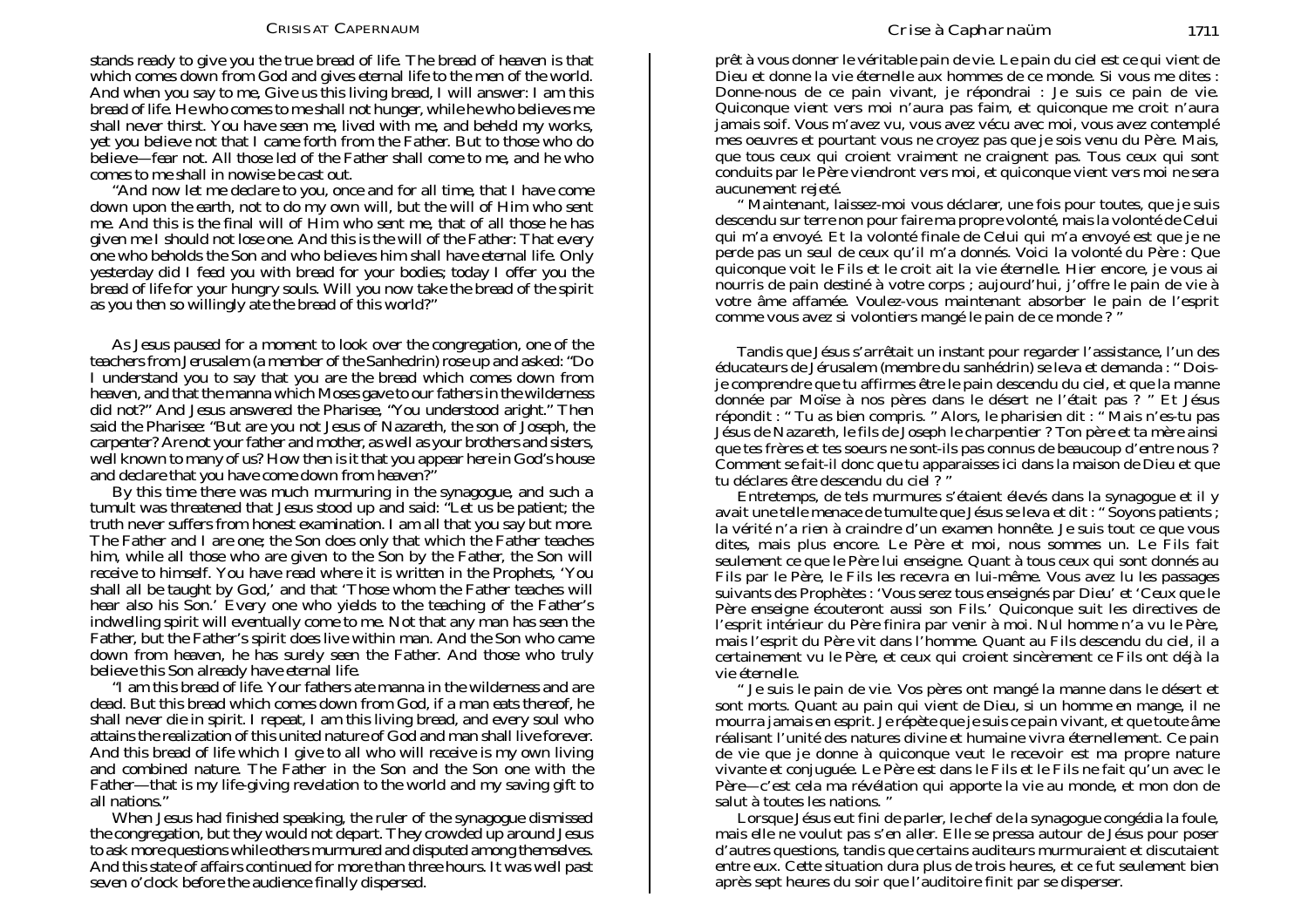#### CRISIS AT CAPERNAUM

stands ready to give you the true bread of life. The bread of heaven is that which comes down from God and gives eternal life to the men of the world. And when you say to me, Give us this living bread, I will answer: I am this bread of life. He who comes to me shall not hunger, while he who believes me shall never thirst. You have seen me, lived with me, and beheld my works, yet you believe not that I came forth from the Father. But to those who do believe—fear not. All those led of the Father shall come to me, and he who comes to me shall in nowise be cast out.

"And now let me declare to you, once and for all time, that I have come down upon the earth, not to do my own will, but the will of Him who sent me. And this is the final will of Him who sent me, that of all those he has given me I should not lose one. And this is the will of the Father: That every one who beholds the Son and who believes him shall have eternal life. Only yesterday did I feed you with bread for your bodies; today I offer you the bread of life for your hungry souls. Will you now take the bread of the spirit as you then so willingly ate the bread of this world?"

As Jesus paused for a moment to look over the congregation, one of the teachers from Jerusalem (a member of the Sanhedrin) rose up and asked: "Do I understand you to say that you are the bread which comes down from heaven, and that the manna which Moses gave to our fathers in the wilderness did not?" And Jesus answered the Pharisee, "You understood aright." Then said the Pharisee: "But are you not Jesus of Nazareth, the son of Joseph, the carpenter? Are not your father and mother, as well as your brothers and sisters, well known to many of us? How then is it that you appear here in God's house and declare that you have come down from heaven?

By this time there was much murmuring in the synagogue, and such a tumult was threatened that Jesus stood up and said: "Let us be patient; the truth never suffers from honest examination. I am all that you say but more. The Father and I are one; the Son does only that which the Father teaches him, while all those who are given to the Son by the Father, the Son will receive to himself. You have read where it is written in the Prophets, 'You shall all be taught by God,' and that 'Those whom the Father teaches will hear also his Son.' Every one who yields to the teaching of the Father's indwelling spirit will eventually come to me. Not that any man has seen the Father, but the Father's spirit does live within man. And the Son who came down from heaven, he has surely seen the Father. And those who truly believe this Son already have eternal life.

"I am this bread of life. Your fathers ate manna in the wilderness and are dead. But this bread which comes down from God, if a man eats thereof, he shall never die in spirit. I repeat, I am this living bread, and every soul who attains the realization of this united nature of God and man shall live forever. And this bread of life which I give to all who will receive is my own living and combined nature. The Father in the Son and the Son one with the Father—that is my life-giving revelation to the world and my saving gift to all nations."

When Jesus had finished speaking, the ruler of the synagogue dismissed the congregation, but they would not depart. They crowded up around Jesus to ask more questions while others murmured and disputed among themselves. And this state of affairs continued for more than three hours. It was well past seven o'clock before the audience finally dispersed.

prêt à vous donner le véritable pain de vie. Le pain du ciel est ce qui vient de Dieu et donne la vie éternelle aux hommes de ce monde. Si vous me dites : Donne-nous de ce pain vivant, je répondrai : Je suis ce pain de vie. Quiconque vient vers moi n'aura pas faim, et quiconque me croit n'aura jamais soif. Vous m'avez vu, vous avez vécu avec moi, vous avez contemplé mes oeuvres et pourtant vous ne croyez pas que je sois venu du Père. Mais, que tous ceux qui croient vraiment ne craignent pas. Tous ceux qui sont conduits par le Père viendront vers moi, et quiconque vient vers moi ne sera aucunement rejeté.

" Maintenant, laissez-moi vous déclarer, une fois pour toutes, que je suis descendu sur terre non pour faire ma propre volonté, mais la volonté de Celui qui m'a envoyé. Et la volonté finale de Celui qui m'a envoyé est que je ne perde pas un seul de ceux qu'il m'a donnés. Voici la volonté du Père : Que quiconque voit le Fils et le croit ait la vie éternelle. Hier encore, je vous ai nourris de pain destiné à votre corps ; aujourd'hui, j'offre le pain de vie à votre âme affamée. Voulez-vous maintenant absorber le pain de l'esprit comme vous avez si volontiers mangé le pain de ce monde ? "

Tandis que Jésus s'arrêtait un instant pour regarder l'assistance, l'un des éducateurs de Jérusalem (membre du sanhédrin) se leva et demanda : " Doisje comprendre que tu affirmes être le pain descendu du ciel, et que la manne donnée par Moïse à nos pères dans le désert ne l'était pas ? " Et Jésus répondit : " Tu as bien compris. " Alors, le pharisien dit : " Mais n'es-tu pas Jésus de Nazareth, le fils de Joseph le charpentier ? Ton père et ta mère ainsi que tes frères et tes soeurs ne sont-ils pas connus de beaucoup d'entre nous ? Comment se fait-il donc que tu apparaisses ici dans la maison de Dieu et que tu déclares être descendu du ciel ? "

Entretemps, de tels murmures s'étaient élevés dans la synagogue et il y avait une telle menace de tumulte que Jésus se leva et dit : " Soyons patients ; la vérité n'a rien à craindre d'un examen honnête. Je suis tout ce que vous dites, mais plus encore. Le Père et moi, nous sommes un. Le Fils fait seulement ce que le Père lui enseigne. Quant à tous ceux qui sont donnés au Fils par le Père, le Fils les recevra en lui-même. Vous avez lu les passages suivants des Prophètes : 'Vous serez tous enseignés par Dieu' et 'Ceux que le Père enseigne écouteront aussi son Fils.' Quiconque suit les directives de l'esprit intérieur du Père finira par venir à moi. Nul homme n'a vu le Père, mais l'esprit du Père vit dans l'homme. Quant au Fils descendu du ciel, il a certainement vu le Père, et ceux qui croient sincèrement ce Fils ont déjà la vie éternelle.

" Je suis le pain de vie. Vos pères ont mangé la manne dans le désert et sont morts. Quant au pain qui vient de Dieu, si un homme en mange, il ne mourra jamais en esprit. Je répète que je suis ce pain vivant, et que toute âme réalisant l'unité des natures divine et humaine vivra éternellement. Ce pain de vie que je donne à quiconque veut le recevoir est ma propre nature vivante et conjuguée. Le Père est dans le Fils et le Fils ne fait qu'un avec le Père—c'est cela ma révélation qui apporte la vie au monde, et mon don de salut à toutes les nations. "

Lorsque Jésus eut fini de parler, le chef de la synagogue congédia la foule, mais elle ne voulut pas s'en aller. Elle se pressa autour de Jésus pour poser d'autres questions, tandis que certains auditeurs murmuraient et discutaient entre eux. Cette situation dura plus de trois heures, et ce fut seulement bien après sept heures du soir que l'auditoire finit par se disperser.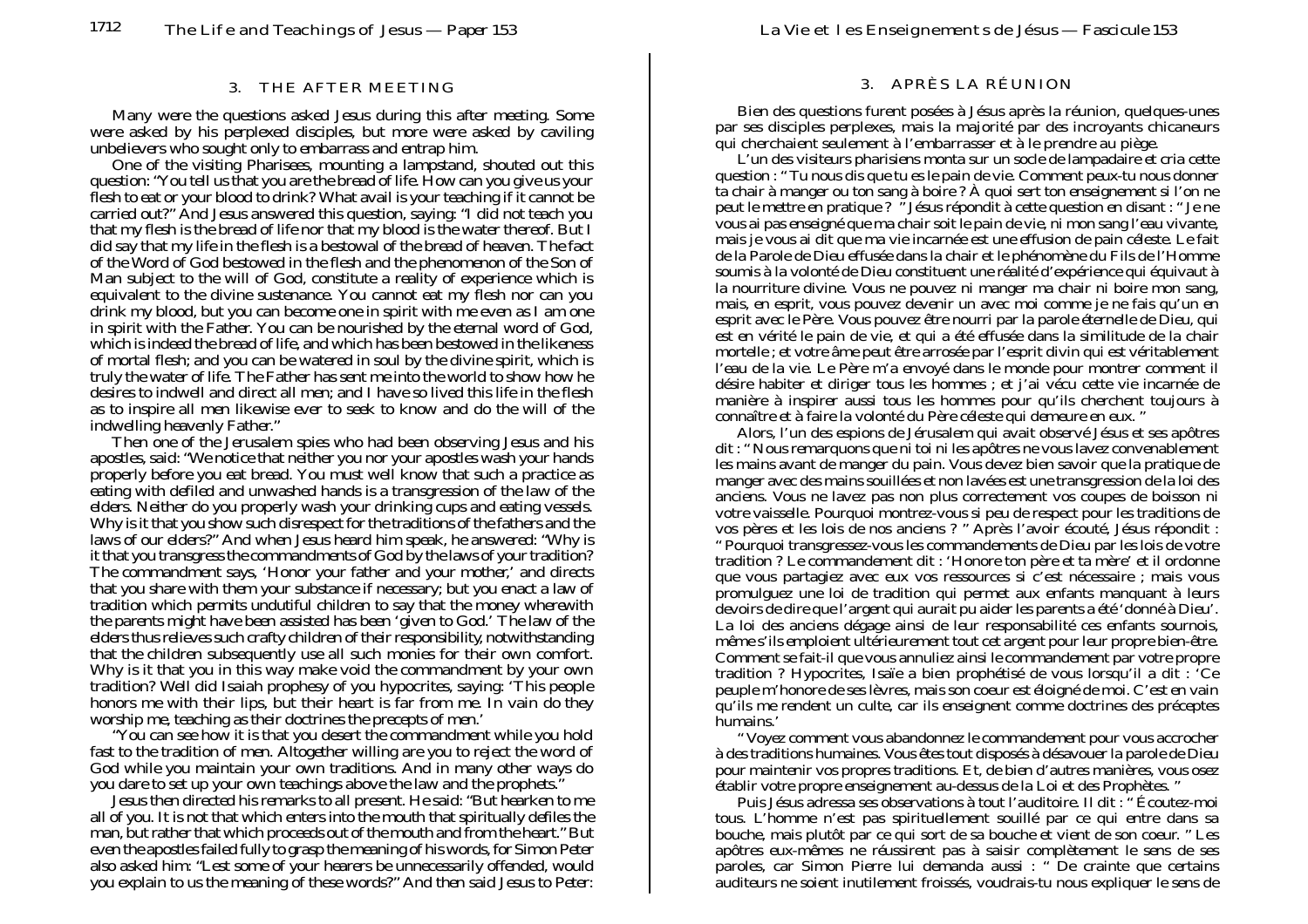#### 3. THE AFTER MEETING

Many were the questions asked Jesus during this after meeting. Some were asked by his perplexed disciples, but more were asked by caviling unbelievers who sought only to embarrass and entrap him.

One of the visiting Pharisees, mounting a lampstand, shouted out this question: "You tell us that you are the bread of life. How can you give us your flesh to eat or your blood to drink? What avail is your teaching if it cannot be carried out?" And Jesus answered this question, saying: "I did not teach you that my flesh is the bread of life nor that my blood is the water thereof. But I did say that my life in the flesh is a bestowal of the bread of heaven. The fact of the Word of God bestowed in the flesh and the phenomenon of the Son of Man subject to the will of God, constitute a reality of experience which is equivalent to the divine sustenance. You cannot eat my flesh nor can you drink my blood, but you can become one in spirit with me even as I am one in spirit with the Father. You can be nourished by the eternal word of God, which is indeed the bread of life, and which has been bestowed in the likeness of mortal flesh; and you can be watered in soul by the divine spirit, which is truly the water of life. The Father has sent me into the world to show how he desires to indwell and direct all men; and I have so lived this life in the flesh as to inspire all men likewise ever to seek to know and do the will of the indwelling heavenly Father."

Then one of the Jerusalem spies who had been observing Jesus and his apostles, said: "We notice that neither you nor your apostles wash your hands properly before you eat bread. You must well know that such a practice as eating with defiled and unwashed hands is a transgression of the law of the elders. Neither do you properly wash your drinking cups and eating vessels. Why is it that you show such disrespect for the traditions of the fathers and the laws of our elders?" And when Jesus heard him speak, he answered: "Why is it that you transgress the commandments of God by the laws of your tradition? The commandment says, 'Honor your father and your mother,' and directs that you share with them your substance if necessary; but you enact a law of tradition which permits undutiful children to say that the money wherewith the parents might have been assisted has been 'given to God.' The law of the elders thus relieves such crafty children of their responsibility, notwithstanding that the children subsequently use all such monies for their own comfort. Why is it that you in this way make void the commandment by your own tradition? Well did Isaiah prophesy of you hypocrites, saying: 'This people honors me with their lips, but their heart is far from me. In vain do they worship me, teaching as their doctrines the precepts of men.'

"You can see how it is that you desert the commandment while you hold fast to the tradition of men. Altogether willing are you to reject the word of God while you maintain your own traditions. And in many other ways do you dare to set up your own teachings above the law and the prophets."

Jesus then directed his remarks to all present. He said: "But hearken to me all of you. It is not that which enters into the mouth that spiritually defiles the man, but rather that which proceeds out of the mouth and from the heart." But even the apostles failed fully to grasp the meaning of his words, for Simon Peter also asked him: "Lest some of your hearers be unnecessarily offended, would you explain to us the meaning of these words?" And then said Jesus to Peter:

# 3. APRÈS LA RÉUNION

Bien des questions furent posées à Jésus après la réunion, quelques-unes par ses disciples perplexes, mais la majorité par des incroyants chicaneurs qui cherchaient seulement à l'embarrasser et à le prendre au piège.

L'un des visiteurs pharisiens monta sur un socle de lampadaire et cria cette question : " Tu nous dis que tu es le pain de vie. Comment peux-tu nous donner ta chair à manger ou ton sang à boire ? À quoi sert ton enseignement si l'on ne peut le mettre en pratique ? " Jésus répondit à cette question en disant : " Je ne vous ai pas enseigné que ma chair soit le pain de vie, ni mon sang l'eau vivante, mais je vous ai dit que ma vie incarnée est une effusion de pain céleste. Le fait de la Parole de Dieu effusée dans la chair et le phénomène du Fils de l'Homme soumis à la volonté de Dieu constituent une réalité d'expérience qui équivaut à la nourriture divine. Vous ne pouvez ni manger ma chair ni boire mon sang, mais, en esprit, vous pouvez devenir un avec moi comme je ne fais qu'un en esprit avec le Père. Vous pouvez être nourri par la parole éternelle de Dieu, qui est en vérité le pain de vie, et qui a été effusée dans la similitude de la chair mortelle ; et votre âme peut être arrosée par l'esprit divin qui est véritablement l'eau de la vie. Le Père m'a envoyé dans le monde pour montrer comment il désire habiter et diriger tous les hommes ; et j'ai vécu cette vie incarnée de manière à inspirer aussi tous les hommes pour qu'ils cherchent toujours à connaître et à faire la volonté du Père céleste qui demeure en eux. "

Alors, l'un des espions de Jérusalem qui avait observé Jésus et ses apôtres dit : " Nous remarquons que ni toi ni les apôtres ne vous lavez convenablement les mains avant de manger du pain. Vous devez bien savoir que la pratique de manger avec des mains souillées et non lavées est une transgression de la loi des anciens. Vous ne lavez pas non plus correctement vos coupes de boisson ni votre vaisselle. Pourquoi montrez-vous si peu de respect pour les traditions de vos pères et les lois de nos anciens ? " Après l'avoir écouté, Jésus répondit : " Pourquoi transgressez-vous les commandements de Dieu par les lois de votre tradition ? Le commandement dit : 'Honore ton père et ta mère' et il ordonne que vous partagiez avec eux vos ressources si c'est nécessaire ; mais vous promulguez une loi de tradition qui permet aux enfants manquant à leurs devoirs de dire que l'argent qui aurait pu aider les parents a été 'donné à Dieu'. La loi des anciens dégage ainsi de leur responsabilité ces enfants sournois, même s'ils emploient ultérieurement tout cet argent pour leur propre bien-être. Comment se fait-il que vous annuliez ainsi le commandement par votre propre tradition ? Hypocrites, Isaïe a bien prophétisé de vous lorsqu'il a dit : 'Ce peuple m'honore de ses lèvres, mais son coeur est éloigné de moi. C'est en vain qu'ils me rendent un culte, car ils enseignent comme doctrines des préceptes humains.'

 Voyez comment vous abandonnez le commandement pour vous accrocher à des traditions humaines. Vous êtes tout disposés à désavouer la parole de Dieu pour maintenir vos propres traditions. Et, de bien d'autres manières, vous osez établir votre propre enseignement au-dessus de la Loi et des Prophètes. "

Puis Jésus adressa ses observations à tout l'auditoire. Il dit : " Écoutez-moi tous. L'homme n'est pas spirituellement souillé par ce qui entre dans sa bouche, mais plutôt par ce qui sort de sa bouche et vient de son coeur. " Les apôtres eux-mêmes ne réussirent pas à saisir complètement le sens de ses paroles, car Simon Pierre lui demanda aussi : " De crainte que certains auditeurs ne soient inutilement froissés, voudrais-tu nous expliquer le sens de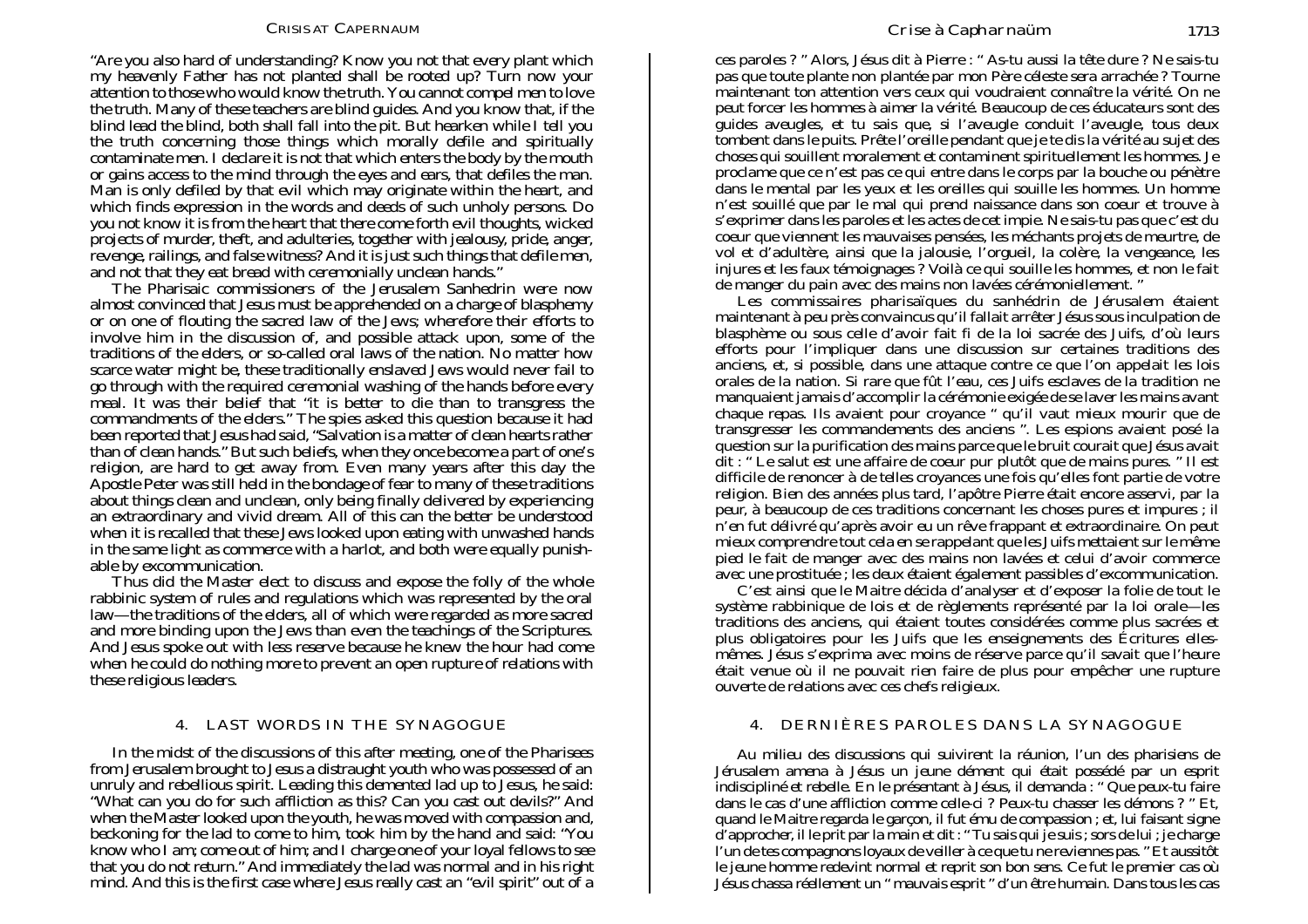"Are you also hard of understanding? Know you not that every plant which my heavenly Father has not planted shall be rooted up? Turn now your attention to those who would know the truth. You cannot compel men to love the truth. Many of these teachers are blind guides. And you know that, if the blind lead the blind, both shall fall into the pit. But hearken while I tell you the truth concerning those things which morally defile and spiritually contaminate men. I declare it is not that which enters the body by the mouth or gains access to the mind through the eyes and ears, that defiles the man. Man is only defiled by that evil which may originate within the heart, and which finds expression in the words and deeds of such unholy persons. Do you not know it is from the heart that there come forth evil thoughts, wicked projects of murder, theft, and adulteries, together with jealousy, pride, anger, revenge, railings, and false witness? And it is just such things that defile men, and not that they eat bread with ceremonially unclean hands."

The Pharisaic commissioners of the Jerusalem Sanhedrin were now almost convinced that Jesus must be apprehended on a charge of blasphemy or on one of flouting the sacred law of the Jews; wherefore their efforts to involve him in the discussion of, and possible attack upon, some of the traditions of the elders, or so-called oral laws of the nation. No matter how scarce water might be, these traditionally enslaved Jews would never fail to go through with the required ceremonial washing of the hands before every meal. It was their belief that "it is better to die than to transgress the commandments of the elders." The spies asked this question because it had been reported that Jesus had said, "Salvation is a matter of clean hearts rather than of clean hands." But such beliefs, when they once become a part of one's religion, are hard to get away from. Even many years after this day the Apostle Peter was still held in the bondage of fear to many of these traditions about things clean and unclean, only being finally delivered by experiencing an extraordinary and vivid dream. All of this can the better be understood when it is recalled that these Jews looked upon eating with unwashed hands in the same light as commerce with a harlot, and both were equally punishable by excommunication.

Thus did the Master elect to discuss and expose the folly of the whole rabbinic system of rules and regulations which was represented by the oral law—the traditions of the elders, all of which were regarded as more sacred and more binding upon the Jews than even the teachings of the Scriptures. And Jesus spoke out with less reserve because he knew the hour had come when he could do nothing more to prevent an open rupture of relations with these religious leaders.

# 4. LAST WORDS IN THE SYNAGOGUE

In the midst of the discussions of this after meeting, one of the Pharisees from Jerusalem brought to Jesus a distraught youth who was possessed of an unruly and rebellious spirit. Leading this demented lad up to Jesus, he said: "What can you do for such affliction as this? Can you cast out devils?" And when the Master looked upon the youth, he was moved with compassion and, beckoning for the lad to come to him, took him by the hand and said: "You know who I am; come out of him; and I charge one of your loyal fellows to see that you do not return." And immediately the lad was normal and in his right mind. And this is the first case where Jesus really cast an "evil spirit" out of a

ces paroles ? " Alors, Jésus dit à Pierre : " As-tu aussi la tête dure ? Ne sais-tu pas que toute plante non plantée par mon Père céleste sera arrachée ? Tourne maintenant ton attention vers ceux qui voudraient connaître la vérité. On ne peut forcer les hommes à aimer la vérité. Beaucoup de ces éducateurs sont des guides aveugles, et tu sais que, si l'aveugle conduit l'aveugle, tous deux tombent dans le puits. Prête l'oreille pendant que je te dis la vérité au sujet des choses qui souillent moralement et contaminent spirituellement les hommes. Je proclame que ce n'est pas ce qui entre dans le corps par la bouche ou pénètre dans le mental par les yeux et les oreilles qui souille les hommes. Un homme <sup>n</sup>'est souillé que par le mal qui prend naissance dans son coeur et trouve à <sup>s</sup>'exprimer dans les paroles et les actes de cet impie. Ne sais-tu pas que c'est du coeur que viennent les mauvaises pensées, les méchants projets de meurtre, de vol et d'adultère, ainsi que la jalousie, l'orgueil, la colère, la vengeance, les injures et les faux témoignages ? Voilà ce qui souille les hommes, et non le fait de manger du pain avec des mains non lavées cérémoniellement. "

Les commissaires pharisaïques du sanhédrin de Jérusalem étaient maintenant à peu près convaincus qu'il fallait arrêter Jésus sous inculpation de blasphème ou sous celle d'avoir fait fi de la loi sacrée des Juifs, d'où leurs efforts pour l'impliquer dans une discussion sur certaines traditions des anciens, et, si possible, dans une attaque contre ce que l'on appelait les lois orales de la nation. Si rare que fût l'eau, ces Juifs esclaves de la tradition ne manquaient jamais d'accomplir la cérémonie exigée de se laver les mains avant chaque repas. Ils avaient pour croyance " qu'il vaut mieux mourir que de transgresser les commandements des anciens ". Les espions avaient posé la question sur la purification des mains parce que le bruit courait que Jésus avait dit : " Le salut est une affaire de coeur pur plutôt que de mains pures. " Il est difficile de renoncer à de telles croyances une fois qu'elles font partie de votre religion. Bien des années plus tard, l'apôtre Pierre était encore asservi, par la peur, à beaucoup de ces traditions concernant les choses pures et impures ; il <sup>n</sup>'en fut délivré qu'après avoir eu un rêve frappant et extraordinaire. On peut mieux comprendre tout cela en se rappelant que les Juifs mettaient sur le même pied le fait de manger avec des mains non lavées et celui d'avoir commerce avec une prostituée ; les deux étaient également passibles d'excommunication.

C'est ainsi que le Maitre décida d'analyser et d'exposer la folie de tout le système rabbinique de lois et de règlements représenté par la loi orale—les traditions des anciens, qui étaient toutes considérées comme plus sacrées et plus obligatoires pour les Juifs que les enseignements des Écritures ellesmêmes. Jésus s'exprima avec moins de réserve parce qu'il savait que l'heure était venue où il ne pouvait rien faire de plus pour empêcher une rupture ouverte de relations avec ces chefs religieux.

#### 4. DERNIÈRES PAROLES DANS LA SYNAGOGUE

Au milieu des discussions qui suivirent la réunion, l'un des pharisiens de Jérusalem amena à Jésus un jeune dément qui était possédé par un esprit indiscipliné et rebelle. En le présentant à Jésus, il demanda : " Que peux-tu faire dans le cas d'une affliction comme celle-ci ? Peux-tu chasser les démons ? " Et, quand le Maitre regarda le garçon, il fut ému de compassion ; et, lui faisant signe d'approcher, il le prit par la main et dit : " Tu sais qui je suis ; sors de lui ; je charge l'un de tes compagnons loyaux de veiller à ce que tu ne reviennes pas. " Et aussitôt le jeune homme redevint normal et reprit son bon sens. Ce fut le premier cas où Jésus chassa réellement un " mauvais esprit " d'un être humain. Dans tous les cas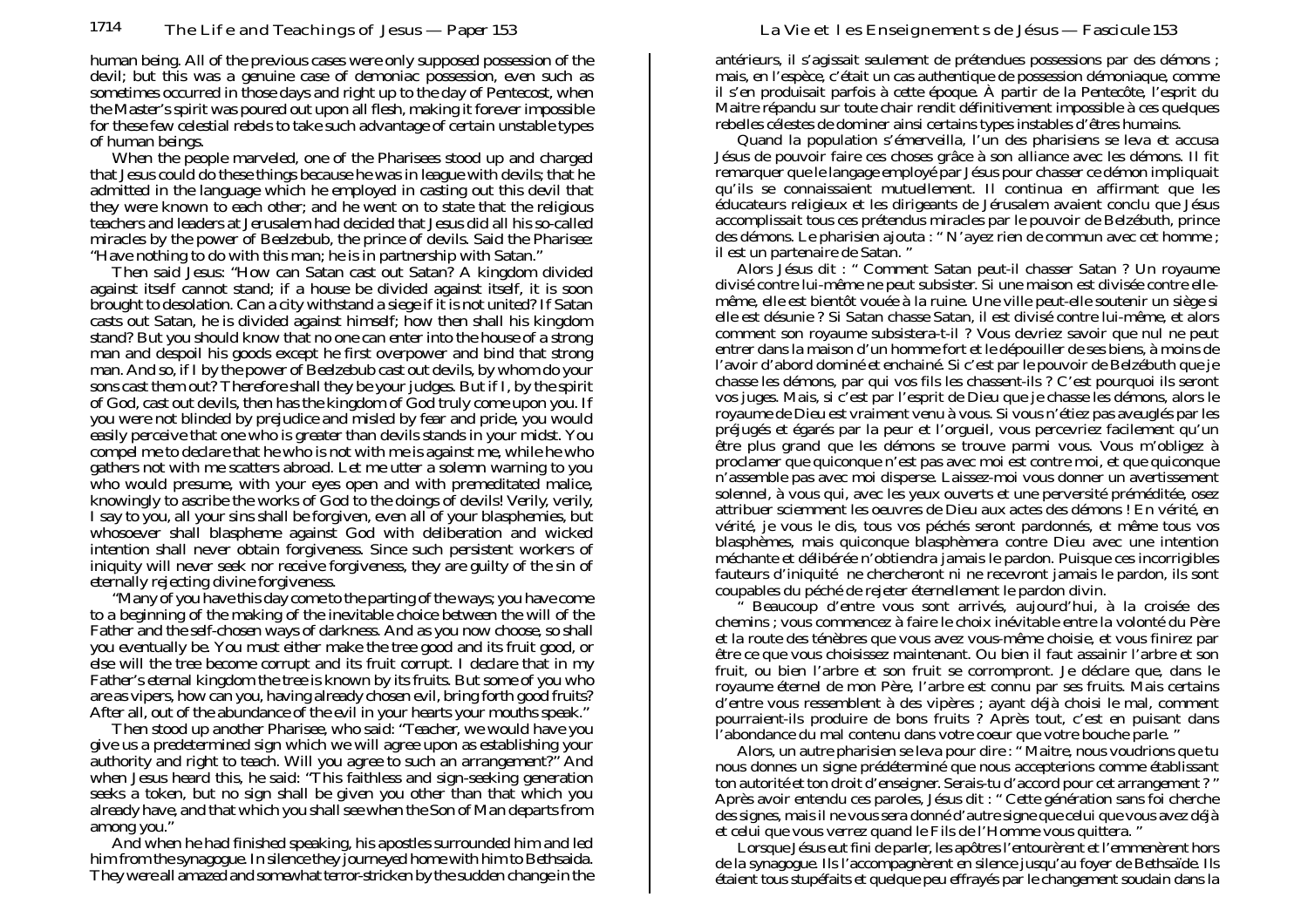human being. All of the previous cases were only supposed possession of the devil; but this was a genuine case of demoniac possession, even such as sometimes occurred in those days and right up to the day of Pentecost, when the Master's spirit was poured out upon all flesh, making it forever impossible for these few celestial rebels to take such advantage of certain unstable types of human beings.

When the people marveled, one of the Pharisees stood up and charged that Jesus could do these things because he was in league with devils; that he admitted in the language which he employed in casting out this devil that they were known to each other; and he went on to state that the religious teachers and leaders at Jerusalem had decided that Jesus did all his so-called miracles by the power of Beelzebub, the prince of devils. Said the Pharisee: "Have nothing to do with this man; he is in partnership with Satan."

Then said Jesus: "How can Satan cast out Satan? A kingdom divided against itself cannot stand; if a house be divided against itself, it is soon brought to desolation. Can a city withstand a siege if it is not united? If Satan casts out Satan, he is divided against himself; how then shall his kingdom stand? But you should know that no one can enter into the house of a strong man and despoil his goods except he first overpower and bind that strong man. And so, if I by the power of Beelzebub cast out devils, by whom do your sons cast them out? Therefore shall they be your judges. But if I, by the spirit of God, cast out devils, then has the kingdom of God truly come upon you. If you were not blinded by prejudice and misled by fear and pride, you would easily perceive that one who is greater than devils stands in your midst. You compel me to declare that he who is not with me is against me, while he who gathers not with me scatters abroad. Let me utter a solemn warning to you who would presume, with your eyes open and with premeditated malice, knowingly to ascribe the works of God to the doings of devils! Verily, verily, I say to you, all your sins shall be forgiven, even all of your blasphemies, but whosoever shall blaspheme against God with deliberation and wicked intention shall never obtain forgiveness. Since such persistent workers of iniquity will never seek nor receive forgiveness, they are guilty of the sin of eternally rejecting divine forgiveness.

"Many of you have this day come to the parting of the ways; you have come to a beginning of the making of the inevitable choice between the will of the Father and the self-chosen ways of darkness. And as you now choose, so shall you eventually be. You must either make the tree good and its fruit good, or else will the tree become corrupt and its fruit corrupt. I declare that in my Father's eternal kingdom the tree is known by its fruits. But some of you who are as vipers, how can you, having already chosen evil, bring forth good fruits? After all, out of the abundance of the evil in your hearts your mouths speak."

Then stood up another Pharisee, who said: "Teacher, we would have you give us a predetermined sign which we will agree upon as establishing your authority and right to teach. Will you agree to such an arrangement?" And when Jesus heard this, he said: "This faithless and sign-seeking generation seeks a token, but no sign shall be given you other than that which you already have, and that which you shall see when the Son of Man departs from among you."

And when he had finished speaking, his apostles surrounded him and led him from the synagogue. In silence they journeyed home with him to Bethsaida. They were all amazed and somewhat terror-stricken by the sudden change in the antérieurs, il s'agissait seulement de prétendues possessions par des démons ; mais, en l'espèce, c'était un cas authentique de possession démoniaque, comme il s'en produisait parfois à cette époque. À partir de la Pentecôte, l'esprit du Maitre répandu sur toute chair rendit définitivement impossible à ces quelques rebelles célestes de dominer ainsi certains types instables d'êtres humains.

Quand la population s'émerveilla, l'un des pharisiens se leva et accusa Jésus de pouvoir faire ces choses grâce à son alliance avec les démons. Il fit remarquer que le langage employé par Jésus pour chasser ce démon impliquait qu'ils se connaissaient mutuellement. Il continua en affirmant que les éducateurs religieux et les dirigeants de Jérusalem avaient conclu que Jésus accomplissait tous ces prétendus miracles par le pouvoir de Belzébuth, prince des démons. Le pharisien ajouta : " N'ayez rien de commun avec cet homme ; il est un partenaire de Satan.

Alors Jésus dit : " Comment Satan peut-il chasser Satan ? Un royaume divisé contre lui-même ne peut subsister. Si une maison est divisée contre ellemême, elle est bientôt vouée à la ruine. Une ville peut-elle soutenir un siège si elle est désunie ? Si Satan chasse Satan, il est divisé contre lui-même, et alors comment son royaume subsistera-t-il ? Vous devriez savoir que nul ne peut entrer dans la maison d'un homme fort et le dépouiller de ses biens, à moins de l'avoir d'abord dominé et enchainé. Si c'est par le pouvoir de Belzébuth que je chasse les démons, par qui vos fils les chassent-ils ? C'est pourquoi ils seront vos juges. Mais, si c'est par l'esprit de Dieu que je chasse les démons, alors le royaume de Dieu est vraiment venu à vous. Si vous n'étiez pas aveuglés par les préjugés et égarés par la peur et l'orgueil, vous percevriez facilement qu'un être plus grand que les démons se trouve parmi vous. Vous m'obligez à proclamer que quiconque n'est pas avec moi est contre moi, et que quiconque <sup>n</sup>'assemble pas avec moi disperse. Laissez-moi vous donner un avertissement solennel, à vous qui, avec les yeux ouverts et une perversité préméditée, osez attribuer sciemment les oeuvres de Dieu aux actes des démons ! En vérité, en vérité, je vous le dis, tous vos péchés seront pardonnés, et même tous vos blasphèmes, mais quiconque blasphèmera contre Dieu avec une intention méchante et délibérée n'obtiendra jamais le pardon. Puisque ces incorrigibles fauteurs d'iniquité ne chercheront ni ne recevront jamais le pardon, ils sont coupables du péché de rejeter éternellement le pardon divin.

 Beaucoup d'entre vous sont arrivés, aujourd'hui, à la croisée des chemins ; vous commencez à faire le choix inévitable entre la volonté du Père et la route des ténèbres que vous avez vous-même choisie, et vous finirez par être ce que vous choisissez maintenant. Ou bien il faut assainir l'arbre et son fruit, ou bien l'arbre et son fruit se corrompront. Je déclare que, dans le royaume éternel de mon Père, l'arbre est connu par ses fruits. Mais certains d'entre vous ressemblent à des vipères ; ayant déjà choisi le mal, comment pourraient-ils produire de bons fruits ? Après tout, c'est en puisant dans l'abondance du mal contenu dans votre coeur que votre bouche parle. "

Alors, un autre pharisien se leva pour dire : " Maitre, nous voudrions que tu nous donnes un signe prédéterminé que nous accepterions comme établissant ton autorité et ton droit d'enseigner. Serais-tu d'accord pour cet arrangement ? " Après avoir entendu ces paroles, Jésus dit : " Cette génération sans foi cherche des signes, mais il ne vous sera donné d'autre signe que celui que vous avez déjà et celui que vous verrez quand le Fils de l'Homme vous quittera. "

Lorsque Jésus eut fini de parler, les apôtres l'entourèrent et l'emmenèrent hors de la synagogue. Ils l'accompagnèrent en silence jusqu'au foyer de Bethsaïde. Ils étaient tous stupéfaits et quelque peu effrayés par le changement soudain dans la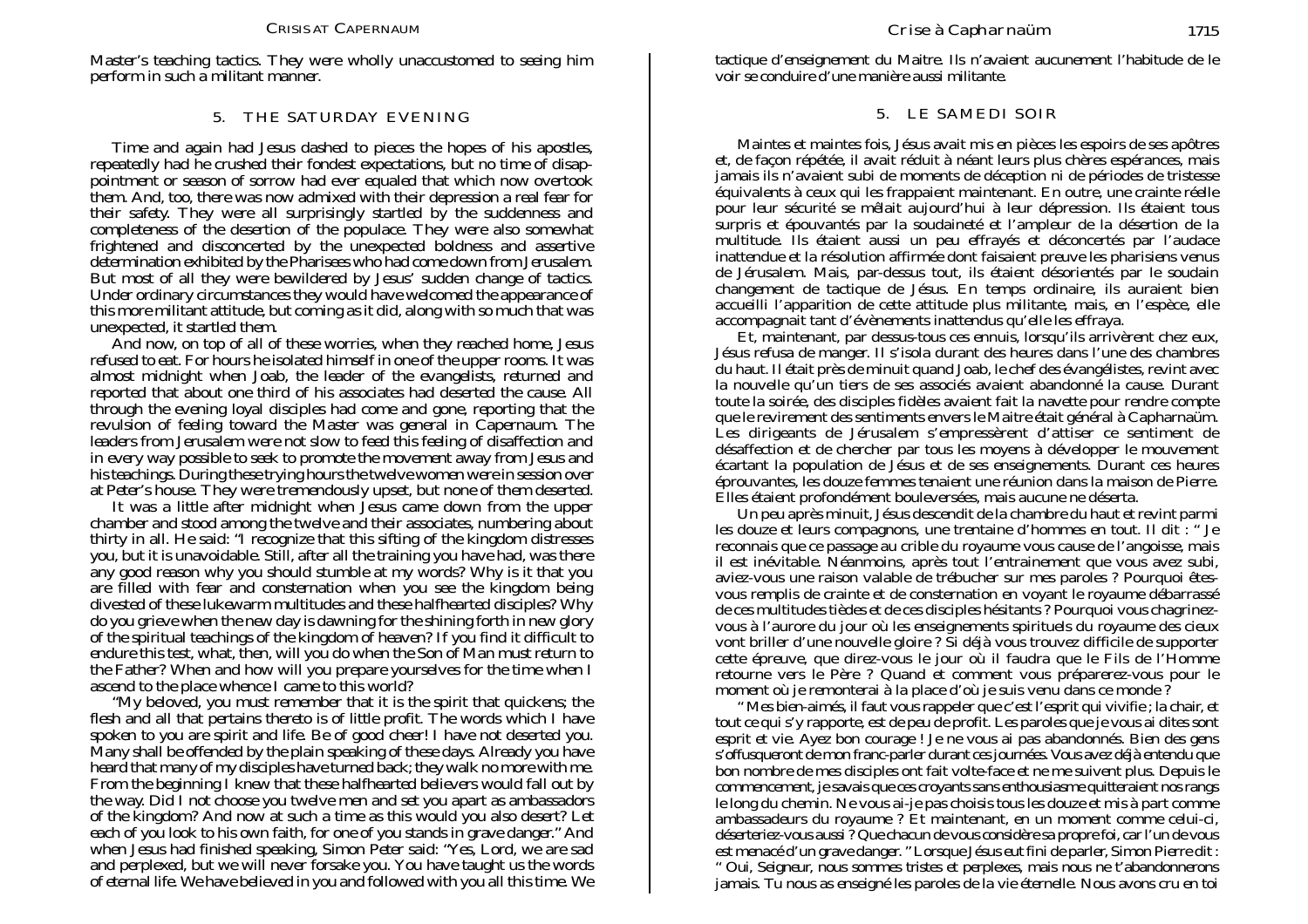#### CRISIS AT CAPERNAUM

Master's teaching tactics. They were wholly unaccustomed to seeing him perform in such a militant manner.

#### 5. THE SATURDAY EVENING

Time and again had Jesus dashed to pieces the hopes of his apostles, repeatedly had he crushed their fondest expectations, but no time of disappointment or season of sorrow had ever equaled that which now overtook them. And, too, there was now admixed with their depression a real fear for their safety. They were all surprisingly startled by the suddenness and completeness of the desertion of the populace. They were also somewhat frightened and disconcerted by the unexpected boldness and assertive determination exhibited by the Pharisees who had come down from Jerusalem. But most of all they were bewildered by Jesus' sudden change of tactics. Under ordinary circumstances they would have welcomed the appearance of this more militant attitude, but coming as it did, along with so much that was unexpected, it startled them.

And now, on top of all of these worries, when they reached home, Jesus refused to eat. For hours he isolated himself in one of the upper rooms. It was almost midnight when Joab, the leader of the evangelists, returned and reported that about one third of his associates had deserted the cause. All through the evening loyal disciples had come and gone, reporting that the revulsion of feeling toward the Master was general in Capernaum. The leaders from Jerusalem were not slow to feed this feeling of disaffection and in every way possible to seek to promote the movement away from Jesus and his teachings. During these trying hours the twelve women were in session over at Peter's house. They were tremendously upset, but none of them deserted.

It was a little after midnight when Jesus came down from the upper chamber and stood among the twelve and their associates, numbering about thirty in all. He said: "I recognize that this sifting of the kingdom distresses you, but it is unavoidable. Still, after all the training you have had, was there any good reason why you should stumble at my words? Why is it that you are filled with fear and consternation when you see the kingdom being divested of these lukewarm multitudes and these halfhearted disciples? Why do you grieve when the new day is dawning for the shining forth in new glory of the spiritual teachings of the kingdom of heaven? If you find it difficult to endure this test, what, then, will you do when the Son of Man must return to the Father? When and how will you prepare yourselves for the time when I ascend to the place whence I came to this world?

"My beloved, you must remember that it is the spirit that quickens; the flesh and all that pertains thereto is of little profit. The words which I have spoken to you are spirit and life. Be of good cheer! I have not deserted you. Many shall be offended by the plain speaking of these days. Already you have heard that many of my disciples have turned back; they walk no more with me. From the beginning I knew that these halfhearted believers would fall out by the way. Did I not choose you twelve men and set you apart as ambassadors of the kingdom? And now at such a time as this would you also desert? Let each of you look to his own faith, for one of you stands in grave danger." And when Jesus had finished speaking, Simon Peter said: "Yes, Lord, we are sad and perplexed, but we will never forsake you. You have taught us the words of eternal life. We have believed in you and followed with you all this time. We

tactique d'enseignement du Maitre. Ils n'avaient aucunement l'habitude de le voir se conduire d'une manière aussi militante.

#### 5. LE SAMEDI SOIR

Maintes et maintes fois, Jésus avait mis en pièces les espoirs de ses apôtres et, de façon répétée, il avait réduit à néant leurs plus chères espérances, mais jamais ils n'avaient subi de moments de déception ni de périodes de tristesse équivalents à ceux qui les frappaient maintenant. En outre, une crainte réelle pour leur sécurité se mêlait aujourd'hui à leur dépression. Ils étaient tous surpris et épouvantés par la soudaineté et l'ampleur de la désertion de la multitude. Ils étaient aussi un peu effrayés et déconcertés par l'audace inattendue et la résolution affirmée dont faisaient preuve les pharisiens venus de Jérusalem. Mais, par-dessus tout, ils étaient désorientés par le soudain changement de tactique de Jésus. En temps ordinaire, ils auraient bien accueilli l'apparition de cette attitude plus militante, mais, en l'espèce, elle accompagnait tant d'évènements inattendus qu'elle les effraya.

Et, maintenant, par dessus-tous ces ennuis, lorsqu'ils arrivèrent chez eux, Jésus refusa de manger. Il s'isola durant des heures dans l'une des chambres du haut. Il était près de minuit quand Joab, le chef des évangélistes, revint avec la nouvelle qu'un tiers de ses associés avaient abandonné la cause. Durant toute la soirée, des disciples fidèles avaient fait la navette pour rendre compte que le revirement des sentiments envers le Maitre était général à Capharnaüm. Les dirigeants de Jérusalem s'empressèrent d'attiser ce sentiment de désaffection et de chercher par tous les moyens à développer le mouvement écartant la population de Jésus et de ses enseignements. Durant ces heures éprouvantes, les douze femmes tenaient une réunion dans la maison de Pierre. Elles étaient profondément bouleversées, mais aucune ne déserta.

Un peu après minuit, Jésus descendit de la chambre du haut et revint parmi les douze et leurs compagnons, une trentaine d'hommes en tout. Il dit : " Je reconnais que ce passage au crible du royaume vous cause de l'angoisse, mais il est inévitable. Néanmoins, après tout l'entrainement que vous avez subi, aviez-vous une raison valable de trébucher sur mes paroles ? Pourquoi êtesvous remplis de crainte et de consternation en voyant le royaume débarrassé de ces multitudes tièdes et de ces disciples hésitants ? Pourquoi vous chagrinezvous à l'aurore du jour où les enseignements spirituels du royaume des cieux vont briller d'une nouvelle gloire ? Si déjà vous trouvez difficile de supporter cette épreuve, que direz-vous le jour où il faudra que le Fils de l'Homme retourne vers le Père ? Quand et comment vous préparerez-vous pour le moment où je remonterai à la place d'où je suis venu dans ce monde ?

" Mes bien-aimés, il faut vous rappeler que c'est l'esprit qui vivifie ; la chair, et tout ce qui s'y rapporte, est de peu de profit. Les paroles que je vous ai dites sont esprit et vie. Ayez bon courage ! Je ne vous ai pas abandonnés. Bien des gens s'offusqueront de mon franc-parler durant ces journées. Vous avez déjà entendu que bon nombre de mes disciples ont fait volte-face et ne me suivent plus. Depuis le commencement, je savais que ces croyants sans enthousiasme quitteraient nos rangs le long du chemin. Ne vous ai-je pas choisis tous les douze et mis à part comme ambassadeurs du royaume ? Et maintenant, en un moment comme celui-ci, déserteriez-vous aussi ? Que chacun de vous considère sa propre foi, car l'un de vous est menacé d'un grave danger. " Lorsque Jésus eut fini de parler, Simon Pierre dit : " Oui, Seigneur, nous sommes tristes et perplexes, mais nous ne t'abandonnerons jamais. Tu nous as enseigné les paroles de la vie éternelle. Nous avons cru en toi